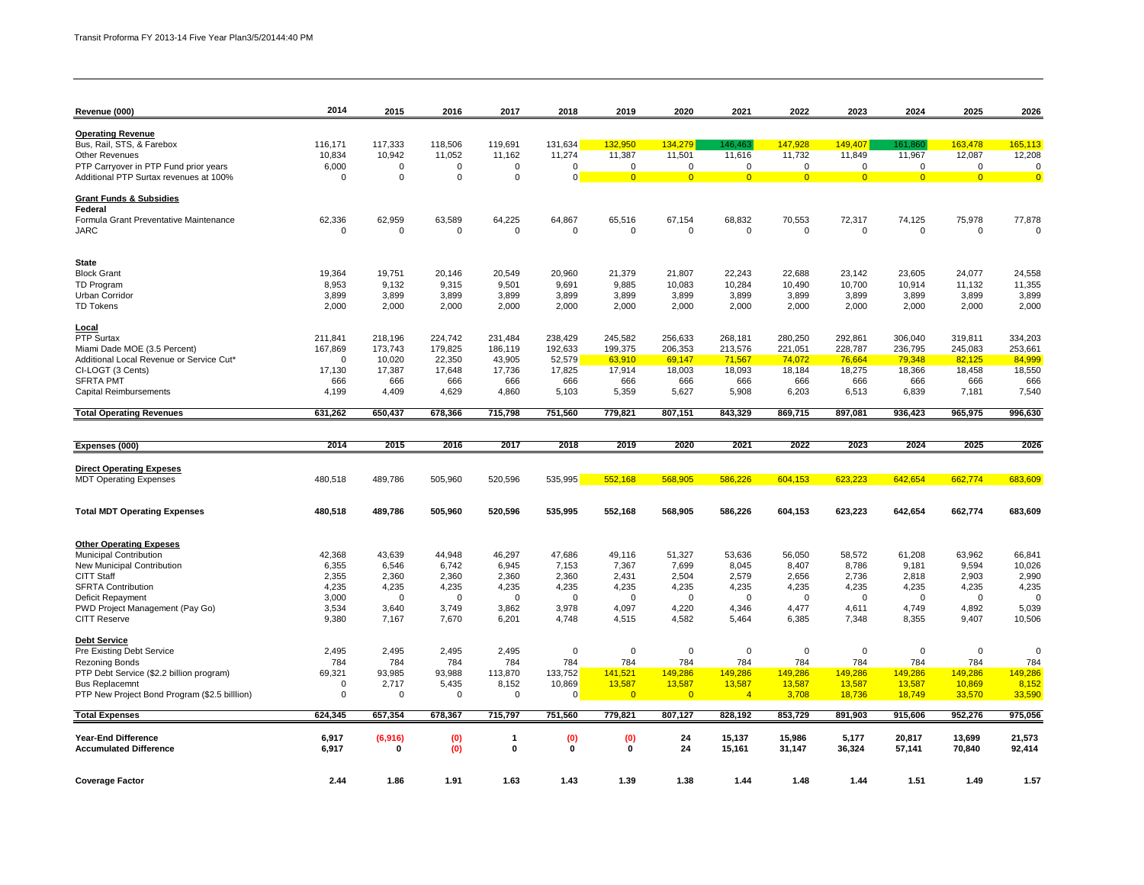| Revenue (000)                                                                   | 2014                 | 2015                  | 2016                  | 2017                  | 2018               | 2019                  | 2020            | 2021                  | 2022             | 2023                  | 2024                  | 2025             | 2026                                   |
|---------------------------------------------------------------------------------|----------------------|-----------------------|-----------------------|-----------------------|--------------------|-----------------------|-----------------|-----------------------|------------------|-----------------------|-----------------------|------------------|----------------------------------------|
|                                                                                 |                      |                       |                       |                       |                    |                       |                 |                       |                  |                       |                       |                  |                                        |
| <b>Operating Revenue</b>                                                        |                      |                       |                       |                       |                    |                       |                 |                       |                  |                       |                       |                  |                                        |
| Bus, Rail, STS, & Farebox                                                       | 116,171              | 117,333               | 118,506               | 119,691               | 131,634            | 132,950               | 134,279         | 146,463               | 147,928          | 149,407               | 161,860               | 163,478          | 165,113                                |
| <b>Other Revenues</b>                                                           | 10,834               | 10,942<br>$\mathbf 0$ | 11,052<br>$\mathbf 0$ | 11,162<br>$\mathbf 0$ | 11,274<br>0        | 11,387<br>$\mathbf 0$ | 11,501          | 11,616<br>$\mathbf 0$ | 11,732           | 11,849<br>$\mathsf 0$ | 11,967<br>$\mathbf 0$ | 12,087           | 12,208                                 |
| PTP Carryover in PTP Fund prior years<br>Additional PTP Surtax revenues at 100% | 6,000<br>$\mathbf 0$ | $\mathbf 0$           | $\mathbf 0$           | $\Omega$              | $\overline{0}$     |                       | $\mathbf 0$     |                       | $\mathbf 0$      | $\overline{0}$        |                       | $\mathsf 0$      | $\mathbf 0$<br>$\overline{\mathbf{0}}$ |
|                                                                                 |                      |                       |                       |                       |                    | $\overline{0}$        | $\overline{0}$  | $\overline{0}$        | $\overline{0}$   |                       | $\overline{0}$        | $\overline{0}$   |                                        |
| <b>Grant Funds &amp; Subsidies</b>                                              |                      |                       |                       |                       |                    |                       |                 |                       |                  |                       |                       |                  |                                        |
| Federal                                                                         |                      |                       |                       |                       |                    |                       |                 |                       |                  |                       |                       |                  |                                        |
| Formula Grant Preventative Maintenance                                          | 62,336               | 62,959                | 63,589                | 64,225                | 64,867             | 65,516                | 67,154          | 68,832                | 70,553           | 72,317                | 74,125                | 75,978           | 77,878<br>$\Omega$                     |
| <b>JARC</b>                                                                     | $\mathbf 0$          | $\mathbf 0$           | $\mathbf 0$           | $\mathbf 0$           | 0                  | 0                     | $\mathbf 0$     | $\mathbf 0$           | 0                | $\mathbf 0$           | $\mathbf 0$           | $\mathbf 0$      |                                        |
| <b>State</b>                                                                    |                      |                       |                       |                       |                    |                       |                 |                       |                  |                       |                       |                  |                                        |
| <b>Block Grant</b>                                                              | 19,364               | 19,751                | 20,146                | 20,549                | 20,960             | 21,379                | 21,807          | 22,243                | 22,688           | 23,142                | 23,605                | 24,077           | 24,558                                 |
| TD Program                                                                      | 8,953                | 9,132                 | 9,315                 | 9,501                 | 9,691              | 9,885                 | 10,083          | 10,284                | 10,490           | 10,700                | 10,914                | 11,132           | 11,355                                 |
| Urban Corridor                                                                  | 3,899                | 3,899                 | 3,899                 | 3,899                 | 3,899              | 3,899                 | 3,899           | 3,899                 | 3,899            | 3,899                 | 3,899                 | 3,899            | 3,899                                  |
| <b>TD Tokens</b>                                                                | 2,000                | 2,000                 | 2,000                 | 2,000                 | 2,000              | 2,000                 | 2,000           | 2,000                 | 2,000            | 2,000                 | 2,000                 | 2,000            | 2,000                                  |
| <u>Local</u>                                                                    |                      |                       |                       |                       |                    |                       |                 |                       |                  |                       |                       |                  |                                        |
| PTP Surtax                                                                      | 211,841              | 218.196               | 224.742               | 231,484               | 238,429            | 245,582               | 256,633         | 268,181               | 280,250          | 292,861               | 306,040               | 319,811          | 334,203                                |
| Miami Dade MOE (3.5 Percent)                                                    | 167,869              | 173,743               | 179,825               | 186,119               | 192,633            | 199,375               | 206,353         | 213,576               | 221,051          | 228,787               | 236,795               | 245,083          | 253,661                                |
| Additional Local Revenue or Service Cut*                                        | $\Omega$             | 10,020                | 22,350                | 43,905                | 52,579             | 63,910                | 69,147          | 71,567                | 74,072           | 76,664                | 79,348                | 82,125           | 84,999                                 |
| CI-LOGT (3 Cents)                                                               | 17,130               | 17,387                | 17,648                | 17,736                | 17,825             | 17,914                | 18,003          | 18,093                | 18,184           | 18,275                | 18,366                | 18,458           | 18,550                                 |
| <b>SFRTA PMT</b>                                                                | 666                  | 666                   | 666                   | 666                   | 666                | 666                   | 666             | 666                   | 666              | 666                   | 666                   | 666              | 666                                    |
| <b>Capital Reimbursements</b>                                                   | 4,199                | 4,409                 | 4,629                 | 4,860                 | 5,103              | 5,359                 | 5,627           | 5,908                 | 6,203            | 6,513                 | 6,839                 | 7,181            | 7,540                                  |
| <b>Total Operating Revenues</b>                                                 | 631,262              | 650,437               | 678,366               | 715,798               | 751,560            | 779,821               | 807,151         | 843,329               | 869,715          | 897,081               | 936,423               | 965,975          | 996,630                                |
|                                                                                 |                      |                       |                       |                       |                    |                       |                 |                       |                  |                       |                       |                  |                                        |
| Expenses (000)                                                                  | 2014                 | 2015                  | 2016                  | 2017                  | 2018               | 2019                  | 2020            | 2021                  | 2022             | 2023                  | 2024                  | 2025             | 2026                                   |
| <b>Direct Operating Expeses</b>                                                 |                      |                       |                       |                       |                    |                       |                 |                       |                  |                       |                       |                  |                                        |
| <b>MDT Operating Expenses</b>                                                   | 480,518              | 489,786               | 505,960               | 520,596               | 535,995            | 552,168               | 568,905         | 586,226               | 604,153          | 623,223               | 642,654               | 662,774          | 683,609                                |
|                                                                                 |                      |                       |                       |                       |                    |                       |                 |                       |                  |                       |                       |                  |                                        |
| <b>Total MDT Operating Expenses</b>                                             | 480,518              | 489,786               | 505,960               | 520,596               | 535,995            | 552,168               | 568,905         | 586,226               | 604,153          | 623,223               | 642,654               | 662,774          | 683,609                                |
|                                                                                 |                      |                       |                       |                       |                    |                       |                 |                       |                  |                       |                       |                  |                                        |
| <b>Other Operating Expeses</b>                                                  | 42,368               | 43,639                |                       | 46,297                |                    |                       |                 |                       |                  |                       | 61,208                | 63,962           |                                        |
| Municipal Contribution<br>New Municipal Contribution                            | 6,355                | 6,546                 | 44,948<br>6,742       | 6,945                 | 47,686<br>7,153    | 49,116<br>7,367       | 51,327<br>7,699 | 53,636<br>8,045       | 56,050<br>8,407  | 58,572<br>8,786       | 9,181                 | 9,594            | 66,841<br>10,026                       |
| <b>CITT Staff</b>                                                               | 2,355                | 2,360                 | 2,360                 | 2,360                 | 2,360              | 2,431                 | 2,504           | 2,579                 | 2,656            | 2,736                 | 2,818                 | 2,903            | 2,990                                  |
| <b>SFRTA Contribution</b>                                                       | 4,235                | 4,235                 | 4,235                 | 4,235                 | 4,235              | 4,235                 | 4,235           | 4,235                 | 4,235            | 4,235                 | 4,235                 | 4,235            | 4,235                                  |
| Deficit Repayment                                                               | 3,000                | $\overline{0}$        | $\Omega$              | $\Omega$              | $\Omega$           | $\mathbf 0$           | $\Omega$        | $\Omega$              | $\Omega$         | $\Omega$              | $\mathbf 0$           | $\Omega$         | $\Omega$                               |
| PWD Project Management (Pay Go)                                                 | 3,534                | 3,640                 | 3,749                 | 3,862                 | 3,978              | 4,097                 | 4,220           | 4,346                 | 4,477            | 4,611                 | 4,749                 | 4,892            | 5,039                                  |
| <b>CITT Reserve</b>                                                             | 9,380                | 7,167                 | 7,670                 | 6,201                 | 4,748              | 4,515                 | 4,582           | 5,464                 | 6,385            | 7,348                 | 8,355                 | 9,407            | 10,506                                 |
| <b>Debt Service</b>                                                             |                      |                       |                       |                       |                    |                       |                 |                       |                  |                       |                       |                  |                                        |
| Pre Existing Debt Service                                                       | 2,495                | 2,495                 | 2,495                 | 2,495                 | $\mathbf 0$        | $\mathbf 0$           | $\mathbf 0$     | 0                     | 0                | $\mathbf 0$           | $\mathbf 0$           | $\mathbf 0$      | 0                                      |
| <b>Rezoning Bonds</b>                                                           | 784                  | 784                   | 784                   | 784                   | 784                | 784                   | 784             | 784                   | 784              | 784                   | 784                   | 784              | 784                                    |
| PTP Debt Service (\$2.2 billion program)                                        | 69,321               | 93,985                | 93,988                | 113,870               | 133,752            | 141,521               | 149,286         | 149,286               | 149,286          | 149,286               | 149,286               | 149,286          | 149,286                                |
| <b>Bus Replacemnt</b>                                                           | $\mathbf 0$          | 2,717                 | 5,435                 | 8,152                 | 10,869             | 13,587                | 13,587          | 13,587                | 13,587           | 13,587                | 13,587                | 10,869           | 8,152                                  |
| PTP New Project Bond Program (\$2.5 billion)                                    | 0                    | $\mathbf 0$           | $\mathbf 0$           | $\mathbf 0$           | $\overline{0}$     | $\overline{0}$        | $\overline{0}$  | $\overline{4}$        | 3,708            | 18,736                | 18,749                | 33,570           | 33,590                                 |
| <b>Total Expenses</b>                                                           | 624,345              | 657,354               | 678,367               | 715,797               | 751,560            | 779,821               | 807,127         | 828,192               | 853,729          | 891,903               | 915,606               | 952,276          | 975,056                                |
|                                                                                 |                      |                       |                       |                       |                    |                       |                 |                       |                  |                       |                       |                  |                                        |
| <b>Year-End Difference</b><br><b>Accumulated Difference</b>                     | 6,917<br>6,917       | (6,916)<br>0          | (0)<br>(0)            | 1<br>$\mathbf 0$      | (0)<br>$\mathbf 0$ | (0)<br>$\mathbf 0$    | 24<br>24        | 15,137<br>15,161      | 15,986<br>31,147 | 5,177<br>36,324       | 20,817<br>57,141      | 13,699<br>70,840 | 21,573<br>92,414                       |
|                                                                                 |                      |                       |                       |                       |                    |                       |                 |                       |                  |                       |                       |                  |                                        |
| <b>Coverage Factor</b>                                                          | 2.44                 | 1.86                  | 1.91                  | 1.63                  | 1.43               | 1.39                  | 1.38            | 1.44                  | 1.48             | 1.44                  | 1.51                  | 1.49             | 1.57                                   |
|                                                                                 |                      |                       |                       |                       |                    |                       |                 |                       |                  |                       |                       |                  |                                        |